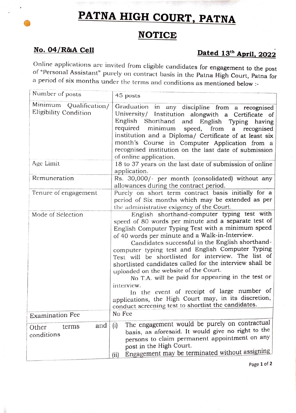## **PATNA HIGH COURT, PATNA**

## **NOTICE**

## **No. 04/R&A Cell Dated 13th April, 2022**

Online applications are invited from eligible candidates for engagement to the post of "Personal Assistant" purely on contract basis in the Patna High Court, Patna for a period of six months under the terms and conditions as mentioned below :-<br>Number of posts

| Number of posts                                 | 45 posts                                                                                                                                                                                                                                                                                                                                                                                                                                                                                                                                                                                                                                                                                                      |
|-------------------------------------------------|---------------------------------------------------------------------------------------------------------------------------------------------------------------------------------------------------------------------------------------------------------------------------------------------------------------------------------------------------------------------------------------------------------------------------------------------------------------------------------------------------------------------------------------------------------------------------------------------------------------------------------------------------------------------------------------------------------------|
| Minimum Qualification/<br>Eligibility Condition | Graduation in any discipline from a recognised<br>University/ Institution alongwith a Certificate of<br>English<br>Shorthand and English Typing<br>having<br>required minimum<br>speed, from a recognised<br>institution and a Diploma/ Certificate of at least six<br>month's Course in Computer Application from a<br>recognised institution on the last date of submission<br>of online application.                                                                                                                                                                                                                                                                                                       |
| Age Limit                                       | 18 to 37 years on the last date of submission of online<br>application.                                                                                                                                                                                                                                                                                                                                                                                                                                                                                                                                                                                                                                       |
| Remuneration                                    | Rs. 30,000/- per month (consolidated) without any<br>allowances during the contract period.                                                                                                                                                                                                                                                                                                                                                                                                                                                                                                                                                                                                                   |
| Tenure of engagement                            | Purely on short term contract basis initially for a<br>period of Six months which may be extended as per<br>the administrative exigency of the Court.                                                                                                                                                                                                                                                                                                                                                                                                                                                                                                                                                         |
| Mode of Selection                               | English shorthand-computer typing test with<br>speed of 80 words per minute and a separate test of<br>English Computer Typing Test with a minimum speed<br>of 40 words per minute and a Walk-in-Interview.<br>Candidates successful in the English shorthand-<br>computer typing test and English Computer Typing<br>Test will be shortlisted for interview. The list of<br>shortlisted candidates called for the interview shall be<br>uploaded on the website of the Court.<br>No T.A. will be paid for appearing in the test or<br>interview.<br>In the event of receipt of large number of<br>applications, the High Court may, in its discretion,<br>conduct screening test to shortlist the candidates. |
| <b>Examination Fee</b>                          | No Fee                                                                                                                                                                                                                                                                                                                                                                                                                                                                                                                                                                                                                                                                                                        |
| and<br>terms<br>Other<br>conditions             | The engagement would be purely on contractual<br>(i)<br>basis, as aforesaid. It would give no right to the<br>persons to claim permanent appointment on any<br>post in the High Court.<br>Engagement may be terminated without assigning<br>(i)                                                                                                                                                                                                                                                                                                                                                                                                                                                               |

Page 1 of 2